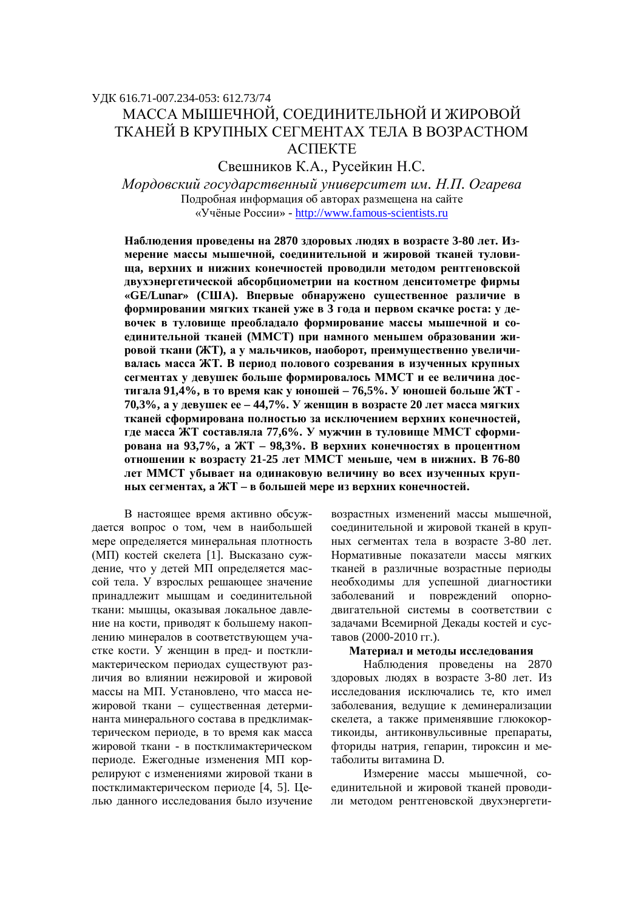## ɍȾɄ 616.71-007.234-053: 612.73/74

# МАССА МЫШЕЧНОЙ. СОЕЛИНИТЕЛЬНОЙ И ЖИРОВОЙ ТКАНЕЙ В КРУПНЫХ СЕГМЕНТАХ ТЕЛА В ВОЗРАСТНОМ **ACTTEKTE**

Свешников К.А., Русейкин Н.С.

 $Mopdo$ вский государственный университет им. Н.П. Огарева Подробная информация об авторах размещена на сайте «Учёные России» - http://www.famous-scientists.ru

Наблюдения проведены на 2870 здоровых людях в возрасте 3-80 лет. Измерение массы мышечной, соединительной и жировой тканей туловища, верхних и нижних конечностей проводили методом рентгеновской двухэнергетической абсорбциометрии на костном денситометре фирмы «**GE/Lunar»** (США). Впервые обнаружено существенное различие в **формировании мягких тканей уже в 3 года и первом скачке роста: у де**вочек в туловище преобладало формирование массы мышечной и соединительной тканей (ММСТ) при намного меньшем образовании жировой ткани (ЖТ), а у мальчиков, наоборот, преимущественно увеличи**валась масса ЖТ. В периол полового созревания в изученных крупных** сегментах у девушек больше формировалось ММСТ и ее величина достигала 91,4%, в то время как у юношей - 76,5%. У юношей больше ЖТ -**70,3%, а у девушек ее – 44,7%. У женщин в возрасте 20 лет масса мягких** тканей сформирована полностью за исключением верхних конечностей, где масса ЖТ составляла 77,6%. У мужчин в туловище ММСТ сформи**рована на 93,7%, а ЖТ – 98,3%. В верхних конечностях в процентном ɨɬɧɨɲɟɧɢɢɤ ɜɨɡɪɚɫɬɭ 21-25 ɥɟɬɆɆɋɌɦɟɧɶɲɟ, ɱɟɦɜɧɢɠɧɢɯ. ȼ 76-80**  дет ММСТ убывает на одинаковую величину во всех изученных крупных сегментах, а ЖТ - в большей мере из верхних конечностей.

В настоящее время активно обсуждается вопрос о том, чем в наибольшей мере определяется минеральная плотность (МП) костей скелета [1]. Высказано суждение, что у детей МП определяется массой тела. У взрослых решающее значение принадлежит мышцам и соединительной ткани: мышцы, оказывая локальное давление на кости, приводят к большему накоплению минералов в соответствующем участке кости. У женщин в пред- и постклимактерическом периодах существуют различия во влиянии нежировой и жировой массы на МП. Установлено, что масса нежировой ткани – существенная детерминанта минерального состава в предклимактерическом периоде, в то время как масса жировой ткани - в постклимактерическом периоде. Ежегодные изменения МП коррелируют с изменениями жировой ткани в постклимактерическом периоде [4, 5]. Шелью данного исследования было изучение возрастных изменений массы мышечной, соелинительной и жировой тканей в крупных сегментах тела в возрасте 3-80 лет. Нормативные показатели массы мягких тканей в различные возрастные периоды необходимы для успешной диагностики заболеваний и повреждений опорнодвигательной системы в соответствии с задачами Всемирной Декады костей и суставов (2000-2010 гг.).

#### Материал и методы исследования

Наблюдения проведены на 2870 здоровых людях в возрасте 3-80 лет. Из исследования исключались те, кто имел заболевания, ведущие к деминерализации скелета, а также применявшие глюкокортикоиды, антиконвульсивные препараты, фториды натрия, гепарин, тироксин и метаболиты витамина D.

Измерение массы мышечной, соелинительной и жировой тканей проводили методом рентгеновской двухэнергети-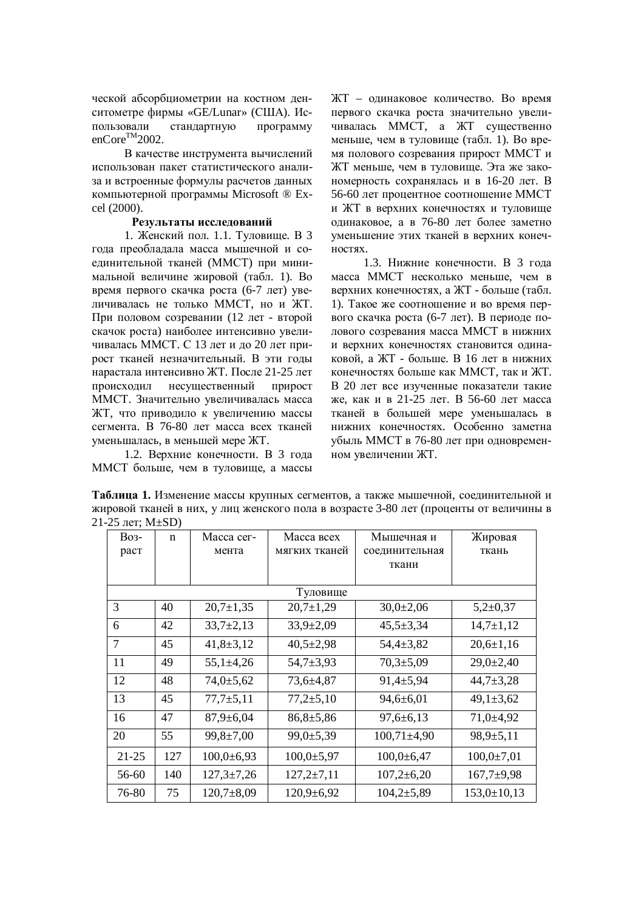ческой абсорбциометрии на костном денситометре фирмы «GE/Lunar» (США). Использовали стандартную программу enCore<sup>TM</sup>2002.

В качестве инструмента вычислений использован пакет статистического анализа и встроенные формулы расчетов данных компьютерной программы Microsoft ® Excel (2000).

## Результаты исслелований

1. Женский пол. 1.1. Туловище. В 3 года преобладала масса мышечной и соединительной тканей (ММСТ) при минимальной величине жировой (табл. 1). Во время первого скачка роста (6-7 лет) увеличивалась не только ММСТ, но и ЖТ. При половом созревании (12 лет - второй скачок роста) наиболее интенсивно увеличивалась ММСТ. С 13 лет и до 20 лет прирост тканей незначительный. В эти годы нарастала интенсивно ЖТ. После 21-25 лет происходил несущественный прирост ММСТ. Значительно увеличивалась масса ЖТ, что приводило к увеличению массы сегмента. В 76-80 лет масса всех тканей уменьшалась, в меньшей мере ЖТ.

1.2. Верхние конечности. В 3 года ММСТ больше, чем в туловище, а массы ЖТ – одинаковое количество. Во время первого скачка роста значительно увеличивалась ММСТ, а ЖТ существенно меньше, чем в туловище (табл. 1). Во время полового созревания прирост ММСТ и ЖТ меньше, чем в туловище. Эта же закономерность сохранялась и в 16-20 лет. В 56-60 лет процентное соотношение ММСТ и ЖТ в верхних конечностях и туловище одинаковое, а в 76-80 лет более заметно уменьшение этих тканей в верхних конеч-HOCTAX.

1.3. Нижние конечности. В 3 года масса ММСТ несколько меньше, чем в верхних конечностях, а ЖТ - больше (табл. 1). Такое же соотношение и во время первого скачка роста (6-7 лет). В периоде полового созревания масса ММСТ в нижних и верхних конечностях становится одинаковой, а ЖТ - больше. В 16 лет в нижних конечностях больше как ММСТ, так и ЖТ. В 20 лет все изученные показатели такие же, как и в 21-25 лет. В 56-60 лет масса тканей в большей мере уменьшалась в нижних конечностях. Особенно заметна убыль ММСТ в 76-80 лет при одновременном увеличении ЖТ.

Таблица 1. Изменение массы крупных сегментов, а также мышечной, соединительной и жировой тканей в них, у лиц женского пола в возрасте 3-80 лет (проценты от величины в 21-25 лет;  $M \pm SD$ )

| <b>Bo<sub>3</sub></b> - | n   | Macca cer-       | Масса всех       | Мышечная и       | Жировая           |  |
|-------------------------|-----|------------------|------------------|------------------|-------------------|--|
| раст                    |     | мента            | мягких тканей    | соединительная   | ткань             |  |
|                         |     |                  |                  | ткани            |                   |  |
|                         |     |                  |                  |                  |                   |  |
| Туловище                |     |                  |                  |                  |                   |  |
| 3                       | 40  | $20,7{\pm}1,35$  | $20,7 \pm 1,29$  | $30,0{\pm}2,06$  | $5,2+0,37$        |  |
| 6                       | 42  | $33,7+2,13$      | $33,9{\pm}2,09$  | $45,5 \pm 3,34$  | $14,7{\pm}1,12$   |  |
| 7                       | 45  | $41,8+3,12$      | $40,5 \pm 2,98$  | $54,4 \pm 3,82$  | $20,6 \pm 1,16$   |  |
| 11                      | 49  | $55,1 \pm 4,26$  | $54,7+3,93$      | $70,3{\pm}5,09$  | $29,0{\pm}2,40$   |  |
| 12                      | 48  | $74,0{\pm}5,62$  | 73,6±4,87        | $91,4+5,94$      | $44,7+3,28$       |  |
| 13                      | 45  | $77,7+5,11$      | $77,2{\pm}5,10$  | $94,6 \pm 6,01$  | $49,1 \pm 3,62$   |  |
| 16                      | 47  | $87,9 \pm 6,04$  | $86,8{\pm}5,86$  | $97,6 \pm 6,13$  | $71,0+4,92$       |  |
| 20                      | 55  | $99,8 \pm 7,00$  | 99,0±5,39        | $100,71\pm4,90$  | $98,9{\pm}5,11$   |  |
| $21 - 25$               | 127 | $100,0{\pm}6,93$ | $100,0{\pm}5,97$ | $100,0+6,47$     | $100,0{\pm}7,01$  |  |
| 56-60                   | 140 | $127,3 \pm 7,26$ | $127,2{\pm}7,11$ | $107,2{\pm}6,20$ | $167,7+9,98$      |  |
| 76-80                   | 75  | $120,7 \pm 8,09$ | $120,9+6,92$     | $104,2{\pm}5,89$ | $153,0 \pm 10,13$ |  |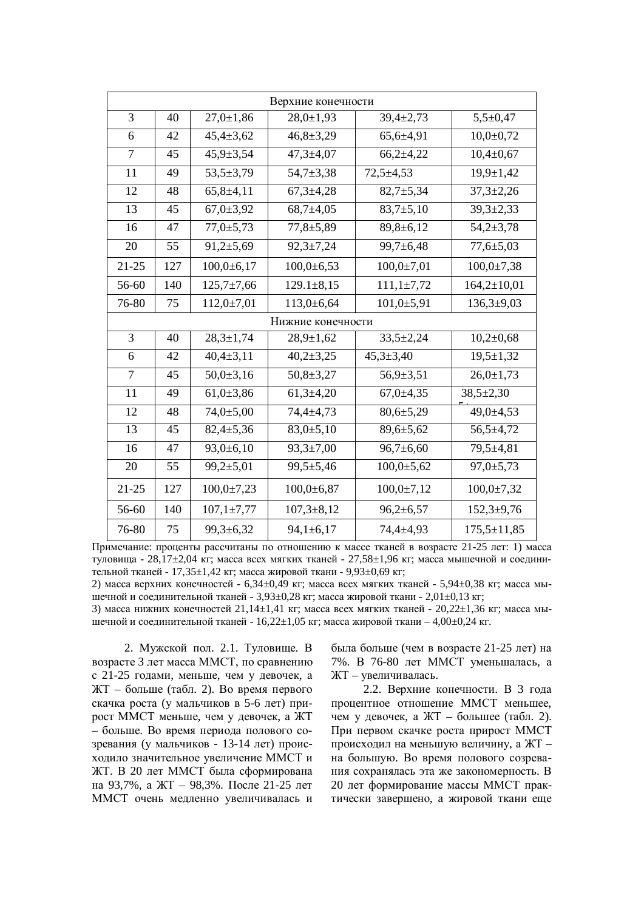| Верхние конечности |     |                  |                  |                  |                   |  |
|--------------------|-----|------------------|------------------|------------------|-------------------|--|
| 3                  | 40  | $27,0 \pm 1,86$  | $28,0 \pm 1,93$  | $39,4 \pm 2,73$  | $5,5+0,47$        |  |
| 6                  | 42  | $45,4 \pm 3,62$  | $46,8 \pm 3,29$  | $65,6{\pm}4,91$  | $10,0+0,72$       |  |
| 7                  | 45  | $45,9{\pm}3,54$  | $47,3 \pm 4,07$  | $66,2{\pm}4,22$  | $10,4{\pm}0,67$   |  |
| 11                 | 49  | $53,5+3,79$      | $54,7+3,38$      | $72,5+4,53$      | $19,9 \pm 1,42$   |  |
| 12                 | 48  | $65,8+4,11$      | $67,3+4,28$      | $82,7+5,34$      | $37,3 \pm 2,26$   |  |
| 13                 | 45  | $67,0{\pm}3,92$  | $68,7+4,05$      | $83,7+5,10$      | $39,3 \pm 2,33$   |  |
| 16                 | 47  | $77,0{\pm}5,73$  | $77,8 + 5,89$    | $89,8 \pm 6,12$  | $54,2{\pm}3,78$   |  |
| 20                 | 55  | $91,2{\pm}5,69$  | $92,3 \pm 7,24$  | $99,7 \pm 6,48$  | $77,6 \pm 5,03$   |  |
| $21 - 25$          | 127 | $100,0{\pm}6,17$ | $100,0+6,53$     | $100,0{\pm}7,01$ | $100,0{\pm}7,38$  |  |
| 56-60              | 140 | $125,7 \pm 7,66$ | $129.1 \pm 8.15$ | $111,1\pm7,72$   | $164,2{\pm}10,01$ |  |
| 76-80              | 75  | $112,0+7,01$     | $113,0+6,64$     | $101,0+5,91$     | $136,3+9,03$      |  |
| Нижние конечности  |     |                  |                  |                  |                   |  |
| 3                  | 40  | $28,3 \pm 1,74$  | $28,9 \pm 1,62$  | $33,5+2,24$      | $10,2{\pm}0,68$   |  |
| 6                  | 42  | $40,4{\pm}3,11$  | $40,2 \pm 3,25$  | $45,3 \pm 3,40$  | $19,5 \pm 1,32$   |  |
| $\tau$             | 45  | $50,0{\pm}3,16$  | $50,8 \pm 3,27$  | $56,9{\pm}3,51$  | $26,0 \pm 1,73$   |  |
| 11                 | 49  | $61,0{\pm}3,86$  | $61,3+4,20$      | $67,0+4,35$      | $38,5 \pm 2,30$   |  |
| 12                 | 48  | $74,0{\pm}5,00$  | $74,4+4,73$      | $80,6{\pm}5,29$  | 49,0±4,53         |  |
| 13                 | 45  | $82,4 \pm 5,36$  | $83,0{\pm}5,10$  | $89,6 \pm 5,62$  | $56,5+4,72$       |  |
| 16                 | 47  | 93,0±6,10        | $93,3 \pm 7,00$  | $96,7{\pm}6,60$  | 79,5±4,81         |  |
| 20                 | 55  | $99,2{\pm}5,01$  | $99,5+5,46$      | $100,0{\pm}5,62$ | $97,0{\pm}5,73$   |  |
| $21 - 25$          | 127 | $100,0{\pm}7,23$ | $100,0{\pm}6,87$ | $100,0{\pm}7,12$ | $100,0{\pm}7,32$  |  |
| 56-60              | 140 | $107,1 \pm 7,77$ | $107,3 \pm 8,12$ | $96,2{\pm}6,57$  | $152,3+9,76$      |  |
| 76-80              | 75  | $99,3 \pm 6,32$  | $94,1 \pm 6,17$  | 74,4±4,93        | $175,5 \pm 11,85$ |  |

Примечание: проценты рассчитаны по отношению к массе тканей в возрасте 21-25 лет: 1) масса туловища - 28,17±2,04 кг; масса всех мягких тканей - 27,58±1,96 кг; масса мышечной и соединительной тканей - 17,35±1,42 кг; масса жировой ткани - 9,93±0,69 кг;

2) масса верхних конечностей - 6,34±0,49 кг; масса всех мягких тканей - 5,94±0,38 кг; масса мышечной и соединительной тканей - 3,93±0,28 кг; масса жировой ткани - 2,01±0,13 кг;

3) масса нижних конечностей  $21,14\pm1,41$  кг; масса всех мягких тканей -  $20,22\pm1,36$  кг; масса мышечной и соединительной тканей - 16,22 $\pm$ 1,05 кг; масса жировой ткани – 4,00 $\pm$ 0,24 кг.

2. Мужской пол. 2.1. Туловище. В возрасте 3 лет масса ММСТ, по сравнению с 21-25 годами, меньше, чем у девочек, а ЖТ – больше (табл. 2). Во время первого скачка роста (у мальчиков в 5-6 лет) прирост ММСТ меньше, чем у девочек, а ЖТ – больше. Во время периода полового созревания (у мальчиков - 13-14 лет) происходило значительное увеличение ММСТ и ЖТ. В 20 лет ММСТ была сформирована на 93,7%, а ЖТ – 98,3%. После 21-25 лет ММСТ очень медленно увеличивалась и

была больше (чем в возрасте 21-25 лет) на 7%. В 76-80 лет ММСТ уменьшалась, а ЖТ – увеличивалась.

2.2. Верхние конечности. В 3 года процентное отношение ММСТ меньшее, чем у девочек, а ЖТ – большее (табл. 2). При первом скачке роста прирост ММСТ происходил на меньшую величину, а ЖТ – на большую. Во время полового созревания сохранялась эта же закономерность. В 20 лет формирование массы ММСТ практически завершено, а жировой ткани еще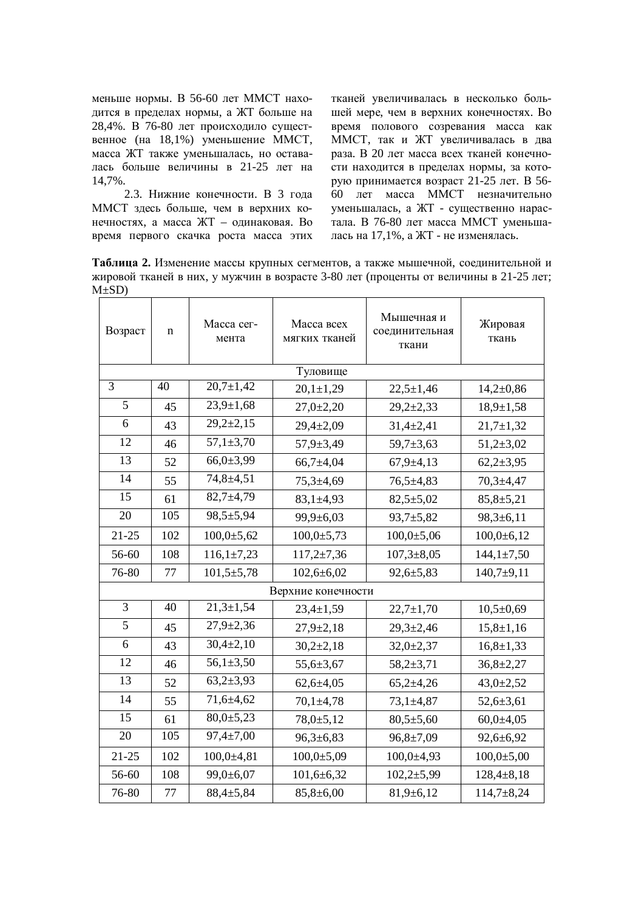меньше нормы. В 56-60 лет ММСТ находится в пределах нормы, а ЖТ больше на 28,4%. В  $76-80$  лет происходило существенное (на 18,1%) уменьшение ММСТ, масса ЖТ также уменьшалась, но оставалась больше величины в 21-25 лет на 14,7%.

2.3. Нижние конечности. В 3 года ММСТ здесь больше, чем в верхних конечностях, а масса ЖТ – одинаковая. Во время первого скачка роста масса этих тканей увеличивалась в несколько большей мере, чем в верхних конечностях. Во время полового созревания масса как ММСТ, так и ЖТ увеличивалась в два раза. В 20 лет масса всех тканей конечности находится в пределах нормы, за которую принимается возраст 21-25 лет. В 56-60 лет масса ММСТ незначительно уменьшалась, а ЖТ - существенно нарастала. В 76-80 лет масса ММСТ уменьшалась на 17,1%, а ЖТ - не изменялась.

Таблица 2. Изменение массы крупных сегментов, а также мышечной, соединительной и жировой тканей в них, у мужчин в возрасте 3-80 лет (проценты от величины в 21-25 лет;  $M\pm SD$ )

| Возраст            | n        | Macca cer-<br>мента | Масса всех<br>мягких тканей | Мышечная и<br>соединительная<br>ткани | Жировая<br>ткань |  |  |
|--------------------|----------|---------------------|-----------------------------|---------------------------------------|------------------|--|--|
|                    | Туловище |                     |                             |                                       |                  |  |  |
| 3                  | 40       | $20,7 \pm 1,42$     | $20,1 \pm 1,29$             | $22,5 \pm 1,46$                       | $14,2{\pm}0,86$  |  |  |
| 5                  | 45       | $23,9 \pm 1,68$     | $27,0+2,20$                 | $29,2{\pm}2,33$                       | $18,9 \pm 1,58$  |  |  |
| 6                  | 43       | $29,2+2,15$         | $29,4+2,09$                 | $31,4+2,41$                           | $21,7+1,32$      |  |  |
| 12                 | 46       | $57,1 \pm 3,70$     | $57,9 \pm 3,49$             | $59,7+3,63$                           | $51,2{\pm}3,02$  |  |  |
| 13                 | 52       | $66,0{\pm}3,99$     | $66,7{\pm}4,04$             | $67,9+4,13$                           | $62,2{\pm}3,95$  |  |  |
| 14                 | 55       | 74,8±4,51           | $75,3+4,69$                 | $76,5+4,83$                           | $70,3+4,47$      |  |  |
| 15                 | 61       | $82,7+4,79$         | $83,1 \pm 4,93$             | $82,5+5,02$                           | $85,8+5,21$      |  |  |
| 20                 | 105      | 98,5±5,94           | 99,9±6,03                   | $93,7+5,82$                           | $98,3+6,11$      |  |  |
| $21 - 25$          | 102      | $100,0{\pm}5,62$    | $100,0{\pm}5,73$            | $100,0{\pm}5,06$                      | $100,0{\pm}6,12$ |  |  |
| 56-60              | 108      | $116,1\pm7,23$      | $117,2{\pm}7,36$            | $107,3 \pm 8,05$                      | $144,1 \pm 7,50$ |  |  |
| 76-80              | 77       | $101,5 \pm 5,78$    | $102,6+6,02$                | $92,6+5,83$                           | $140,7+9,11$     |  |  |
| Верхние конечности |          |                     |                             |                                       |                  |  |  |
| $\overline{3}$     | 40       | $21,3 \pm 1,54$     | $23,4 \pm 1,59$             | $22,7 \pm 1,70$                       | $10,5+0,69$      |  |  |
| $\overline{5}$     | 45       | $27,9 \pm 2,36$     | $27,9+2,18$                 | $29,3 \pm 2,46$                       | $15,8+1,16$      |  |  |
| 6                  | 43       | $30,4{\pm}2,10$     | $30,2{\pm}2,18$             | $32,0+2,37$                           | $16,8{\pm}1,33$  |  |  |
| 12                 | 46       | $56,1{\pm}3,50$     | 55,6±3,67                   | $58,2+3,71$                           | $36,8{\pm}2,27$  |  |  |
| 13                 | 52       | $63,2+3,93$         | $62,6+4,05$                 | $65,2{\pm}4,26$                       | $43,0 \pm 2,52$  |  |  |
| 14                 | 55       | $71,6+4,62$         | $70,1 \pm 4,78$             | $73,1 \pm 4,87$                       | $52,6+3,61$      |  |  |
| 15                 | 61       | $80,0{\pm}5,23$     | 78,0±5,12                   | $80,5{\pm}5,60$                       | $60,0{\pm}4,05$  |  |  |
| 20                 | 105      | $97,4 \pm 7,00$     | $96,3 \pm 6,83$             | $96,8 \pm 7,09$                       | $92,6 \pm 6,92$  |  |  |
| $21 - 25$          | 102      | $100,0+4,81$        | $100,0{\pm}5,09$            | $100,0+4,93$                          | $100,0{\pm}5,00$ |  |  |
| 56-60              | 108      | $99,0{\pm}6,07$     | $101,6+6,32$                | $102,2+5,99$                          | $128,4+8,18$     |  |  |
| 76-80              | 77       | 88,4±5,84           | $85,8 \pm 6,00$             | $81,9+6,12$                           | $114,7+8,24$     |  |  |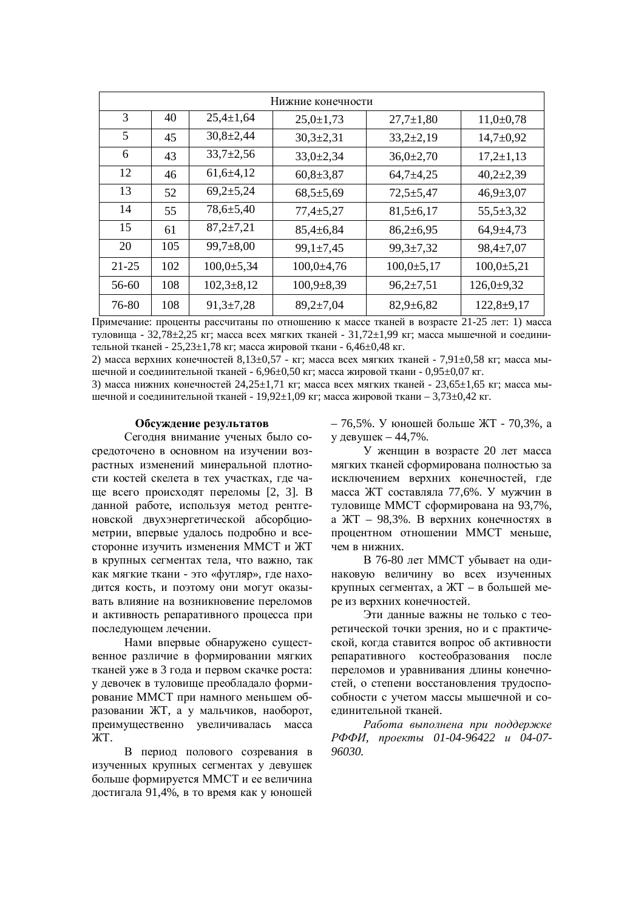| Нижние конечности |     |                  |                  |                  |                  |
|-------------------|-----|------------------|------------------|------------------|------------------|
| 3                 | 40  | $25,4 \pm 1,64$  | $25,0 \pm 1,73$  | $27,7 \pm 1,80$  | $11,0+0,78$      |
| 5                 | 45  | $30,8{\pm}2,44$  | $30,3{\pm}2,31$  | $33,2+2,19$      | $14,7+0,92$      |
| 6                 | 43  | $33,7{\pm}2,56$  | $33,0{\pm}2,34$  | $36,0{\pm}2,70$  | $17,2{\pm}1,13$  |
| 12                | 46  | $61,6+4,12$      | $60,8{\pm}3,87$  | $64,7+4,25$      | $40,2{\pm}2,39$  |
| 13                | 52  | $69,2{\pm}5,24$  | $68,5+5,69$      | $72,5+5,47$      | $46,9{\pm}3,07$  |
| 14                | 55  | $78,6 \pm 5,40$  | $77,4 \pm 5,27$  | $81,5+6,17$      | $55,5 \pm 3,32$  |
| 15                | 61  | $87,2{\pm}7,21$  | $85,4 \pm 6,84$  | $86,2{\pm}6,95$  | $64,9+4,73$      |
| 20                | 105 | $99,7 \pm 8,00$  | $99,1 \pm 7,45$  | $99,3 \pm 7,32$  | $98,4 \pm 7,07$  |
| $21 - 25$         | 102 | $100,0{\pm}5,34$ | $100,0{\pm}4,76$ | $100,0{\pm}5,17$ | $100,0{\pm}5,21$ |
| 56-60             | 108 | $102,3+8,12$     | $100,9{\pm}8,39$ | $96,2{\pm}7,51$  | $126,0+9,32$     |
| 76-80             | 108 | $91,3 \pm 7,28$  | $89,2{\pm}7,04$  | $82,9 \pm 6,82$  | $122,8+9,17$     |

Примечание: проценты рассчитаны по отношению к массе тканей в возрасте 21-25 лет: 1) масса туловища - 32,78±2,25 кг; масса всех мягких тканей - 31,72±1,99 кг; масса мышечной и соединительной тканей - 25,23±1,78 кг; масса жировой ткани - 6,46±0,48 кг.

2) масса верхних конечностей 8,13±0,57 - кг; масса всех мягких тканей - 7,91±0,58 кг; масса мышечной и соединительной тканей - 6,96±0,50 кг; масса жировой ткани - 0,95±0,07 кг.

3) масса нижних конечностей  $24,25\pm1,71$  кг; масса всех мягких тканей - 23,65 $\pm1,65$  кг; масса мышечной и соединительной тканей - 19,92 $\pm$ 1,09 кг; масса жировой ткани – 3,73 $\pm$ 0,42 кг.

#### Обсуждение результатов

Сегодня внимание ученых было сосредоточено в основном на изучении возрастных изменений минеральной плотности костей скелета в тех участках, где чаще всего происходят переломы [2, 3]. В данной работе, используя метод рентгеновской двухэнергетической абсорбциометрии, впервые удалось подробно и всесторонне изучить изменения ММСТ и ЖТ в крупных сегментах тела, что важно, так как мягкие ткани - это «футляр», где находится кость, и поэтому они могут оказывать влияние на возникновение переломов и активность репаративного процесса при последующем лечении.

Нами впервые обнаружено существенное различие в формировании мягких тканей уже в 3 года и первом скачке роста: у девочек в туловище преобладало формирование ММСТ при намного меньшем образовании ЖТ, а у мальчиков, наоборот, преимущественно увеличивалась масса ЖT.

В период полового созревания в изученных крупных сегментах у девушек больше формируется ММСТ и ее величина достигала 91,4%, в то время как у юношей – 76,5%. У юношей больше ЖТ - 70,3%, а у девушек – 44,7%.

У женщин в возрасте 20 лет масса мягких тканей сформирована полностью за исключением верхних конечностей, где масса ЖТ составляла 77,6%. У мужчин в туловище ММСТ сформирована на 93,7%, а ЖТ – 98.3%. В верхних конечностях в процентном отношении ММСТ меньше, чем в нижних.

В 76-80 лет ММСТ убывает на одинаковую величину во всех изученных крупных сегментах, а ЖТ - в большей мере из верхних конечностей.

Эти ланные важны не только с теоретической точки зрения, но и с практической, когда ставится вопрос об активности репаративного костеобразования после переломов и уравнивания длины конечностей, о степени восстановления трудоспособности с учетом массы мышечной и соединительной тканей.

Работа выполнена при поддержке  $P$ ФФИ, проекты 01-04-96422 и 04-07-*96030.*